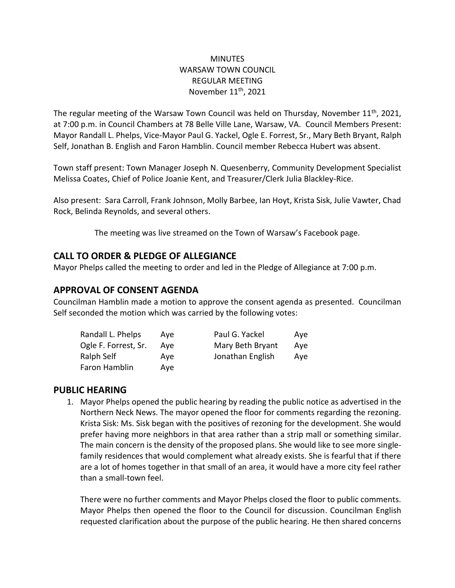### **MINUTES** WARSAW TOWN COUNCIL REGULAR MEETING November 11<sup>th</sup>, 2021

The regular meeting of the Warsaw Town Council was held on Thursday, November  $11<sup>th</sup>$ , 2021, at 7:00 p.m. in Council Chambers at 78 Belle Ville Lane, Warsaw, VA. Council Members Present: Mayor Randall L. Phelps, Vice-Mayor Paul G. Yackel, Ogle E. Forrest, Sr., Mary Beth Bryant, Ralph Self, Jonathan B. English and Faron Hamblin. Council member Rebecca Hubert was absent.

Town staff present: Town Manager Joseph N. Quesenberry, Community Development Specialist Melissa Coates, Chief of Police Joanie Kent, and Treasurer/Clerk Julia Blackley-Rice.

Also present: Sara Carroll, Frank Johnson, Molly Barbee, Ian Hoyt, Krista Sisk, Julie Vawter, Chad Rock, Belinda Reynolds, and several others.

The meeting was live streamed on the Town of Warsaw's Facebook page.

## **CALL TO ORDER & PLEDGE OF ALLEGIANCE**

Mayor Phelps called the meeting to order and led in the Pledge of Allegiance at 7:00 p.m.

# **APPROVAL OF CONSENT AGENDA**

Councilman Hamblin made a motion to approve the consent agenda as presented. Councilman Self seconded the motion which was carried by the following votes:

| Randall L. Phelps    | Ave | Paul G. Yackel   | Ave |
|----------------------|-----|------------------|-----|
| Ogle F. Forrest, Sr. | Ave | Mary Beth Bryant | Ave |
| Ralph Self           | Ave | Jonathan English | Aye |
| Faron Hamblin        | Ave |                  |     |

## **PUBLIC HEARING**

1. Mayor Phelps opened the public hearing by reading the public notice as advertised in the Northern Neck News. The mayor opened the floor for comments regarding the rezoning. Krista Sisk: Ms. Sisk began with the positives of rezoning for the development. She would prefer having more neighbors in that area rather than a strip mall or something similar. The main concern is the density of the proposed plans. She would like to see more singlefamily residences that would complement what already exists. She is fearful that if there are a lot of homes together in that small of an area, it would have a more city feel rather than a small-town feel.

There were no further comments and Mayor Phelps closed the floor to public comments. Mayor Phelps then opened the floor to the Council for discussion. Councilman English requested clarification about the purpose of the public hearing. He then shared concerns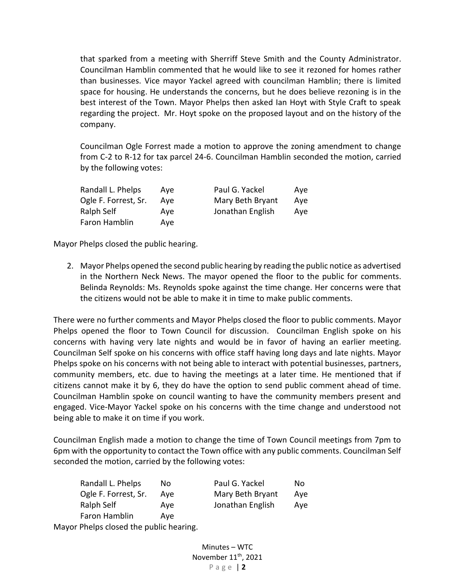that sparked from a meeting with Sherriff Steve Smith and the County Administrator. Councilman Hamblin commented that he would like to see it rezoned for homes rather than businesses. Vice mayor Yackel agreed with councilman Hamblin; there is limited space for housing. He understands the concerns, but he does believe rezoning is in the best interest of the Town. Mayor Phelps then asked Ian Hoyt with Style Craft to speak regarding the project. Mr. Hoyt spoke on the proposed layout and on the history of the company.

Councilman Ogle Forrest made a motion to approve the zoning amendment to change from C-2 to R-12 for tax parcel 24-6. Councilman Hamblin seconded the motion, carried by the following votes:

| Randall L. Phelps    | Ave | Paul G. Yackel   | Ave |
|----------------------|-----|------------------|-----|
| Ogle F. Forrest, Sr. | Ave | Mary Beth Bryant | Ave |
| Ralph Self           | Ave | Jonathan English | Ave |
| Faron Hamblin        | Ave |                  |     |

Mayor Phelps closed the public hearing.

2. Mayor Phelps opened the second public hearing by reading the public notice as advertised in the Northern Neck News. The mayor opened the floor to the public for comments. Belinda Reynolds: Ms. Reynolds spoke against the time change. Her concerns were that the citizens would not be able to make it in time to make public comments.

There were no further comments and Mayor Phelps closed the floor to public comments. Mayor Phelps opened the floor to Town Council for discussion. Councilman English spoke on his concerns with having very late nights and would be in favor of having an earlier meeting. Councilman Self spoke on his concerns with office staff having long days and late nights. Mayor Phelps spoke on his concerns with not being able to interact with potential businesses, partners, community members, etc. due to having the meetings at a later time. He mentioned that if citizens cannot make it by 6, they do have the option to send public comment ahead of time. Councilman Hamblin spoke on council wanting to have the community members present and engaged. Vice-Mayor Yackel spoke on his concerns with the time change and understood not being able to make it on time if you work.

Councilman English made a motion to change the time of Town Council meetings from 7pm to 6pm with the opportunity to contact the Town office with any public comments. Councilman Self seconded the motion, carried by the following votes:

| Randall L. Phelps                       | No. | Paul G. Yackel   | No. |
|-----------------------------------------|-----|------------------|-----|
| Ogle F. Forrest, Sr.                    | Ave | Mary Beth Bryant | Aye |
| Ralph Self                              | Ave | Jonathan English | Aye |
| Faron Hamblin                           | Ave |                  |     |
| Mayor Phelps closed the public hearing. |     |                  |     |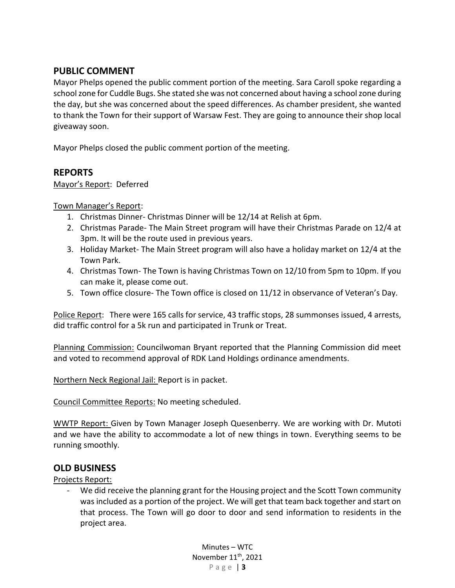## **PUBLIC COMMENT**

Mayor Phelps opened the public comment portion of the meeting. Sara Caroll spoke regarding a school zone for Cuddle Bugs. She stated she was not concerned about having a school zone during the day, but she was concerned about the speed differences. As chamber president, she wanted to thank the Town for their support of Warsaw Fest. They are going to announce their shop local giveaway soon.

Mayor Phelps closed the public comment portion of the meeting.

### **REPORTS**

Mayor's Report: Deferred

Town Manager's Report:

- 1. Christmas Dinner- Christmas Dinner will be 12/14 at Relish at 6pm.
- 2. Christmas Parade- The Main Street program will have their Christmas Parade on 12/4 at 3pm. It will be the route used in previous years.
- 3. Holiday Market- The Main Street program will also have a holiday market on 12/4 at the Town Park.
- 4. Christmas Town- The Town is having Christmas Town on 12/10 from 5pm to 10pm. If you can make it, please come out.
- 5. Town office closure- The Town office is closed on 11/12 in observance of Veteran's Day.

Police Report: There were 165 calls for service, 43 traffic stops, 28 summonses issued, 4 arrests, did traffic control for a 5k run and participated in Trunk or Treat.

Planning Commission: Councilwoman Bryant reported that the Planning Commission did meet and voted to recommend approval of RDK Land Holdings ordinance amendments.

Northern Neck Regional Jail: Report is in packet.

Council Committee Reports: No meeting scheduled.

WWTP Report: Given by Town Manager Joseph Quesenberry. We are working with Dr. Mutoti and we have the ability to accommodate a lot of new things in town. Everything seems to be running smoothly.

### **OLD BUSINESS**

Projects Report:

We did receive the planning grant for the Housing project and the Scott Town community was included as a portion of the project. We will get that team back together and start on that process. The Town will go door to door and send information to residents in the project area.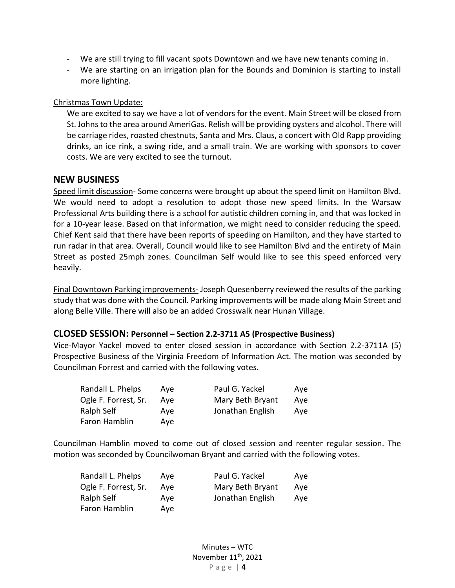- We are still trying to fill vacant spots Downtown and we have new tenants coming in.
- We are starting on an irrigation plan for the Bounds and Dominion is starting to install more lighting.

#### Christmas Town Update:

We are excited to say we have a lot of vendors for the event. Main Street will be closed from St. Johns to the area around AmeriGas. Relish will be providing oysters and alcohol. There will be carriage rides, roasted chestnuts, Santa and Mrs. Claus, a concert with Old Rapp providing drinks, an ice rink, a swing ride, and a small train. We are working with sponsors to cover costs. We are very excited to see the turnout.

#### **NEW BUSINESS**

Speed limit discussion- Some concerns were brought up about the speed limit on Hamilton Blvd. We would need to adopt a resolution to adopt those new speed limits. In the Warsaw Professional Arts building there is a school for autistic children coming in, and that was locked in for a 10-year lease. Based on that information, we might need to consider reducing the speed. Chief Kent said that there have been reports of speeding on Hamilton, and they have started to run radar in that area. Overall, Council would like to see Hamilton Blvd and the entirety of Main Street as posted 25mph zones. Councilman Self would like to see this speed enforced very heavily.

Final Downtown Parking improvements- Joseph Quesenberry reviewed the results of the parking study that was done with the Council. Parking improvements will be made along Main Street and along Belle Ville. There will also be an added Crosswalk near Hunan Village.

#### **CLOSED SESSION: Personnel – Section 2.2-3711 A5 (Prospective Business)**

Vice-Mayor Yackel moved to enter closed session in accordance with Section 2.2-3711A (5) Prospective Business of the Virginia Freedom of Information Act. The motion was seconded by Councilman Forrest and carried with the following votes.

| Randall L. Phelps    | Ave | Paul G. Yackel   | Ave |
|----------------------|-----|------------------|-----|
| Ogle F. Forrest, Sr. | Ave | Mary Beth Bryant | Aye |
| Ralph Self           | Ave | Jonathan English | Ave |
| Faron Hamblin        | Ave |                  |     |

Councilman Hamblin moved to come out of closed session and reenter regular session. The motion was seconded by Councilwoman Bryant and carried with the following votes.

| Randall L. Phelps    | Ave | Paul G. Yackel   | Ave |
|----------------------|-----|------------------|-----|
| Ogle F. Forrest, Sr. | Ave | Mary Beth Bryant | Ave |
| Ralph Self           | Ave | Jonathan English | Ave |
| Faron Hamblin        | Ave |                  |     |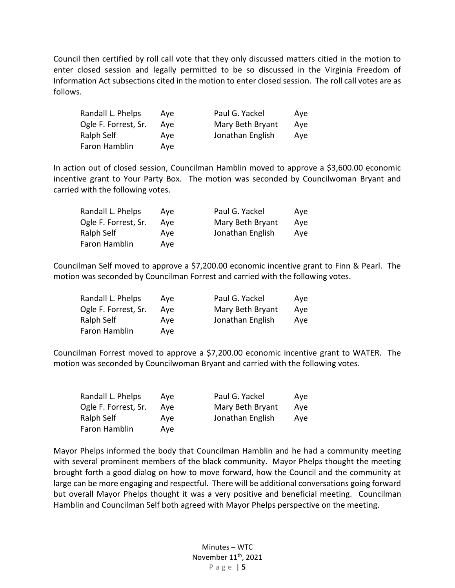Council then certified by roll call vote that they only discussed matters citied in the motion to enter closed session and legally permitted to be so discussed in the Virginia Freedom of Information Act subsections cited in the motion to enter closed session. The roll call votes are as follows.

| Randall L. Phelps    | Ave | Paul G. Yackel   | Ave |
|----------------------|-----|------------------|-----|
| Ogle F. Forrest, Sr. | Ave | Mary Beth Bryant | Ave |
| Ralph Self           | Ave | Jonathan English | Ave |
| Faron Hamblin        | Ave |                  |     |

In action out of closed session, Councilman Hamblin moved to approve a \$3,600.00 economic incentive grant to Your Party Box. The motion was seconded by Councilwoman Bryant and carried with the following votes.

| Randall L. Phelps    | Ave | Paul G. Yackel   | Ave |
|----------------------|-----|------------------|-----|
| Ogle F. Forrest, Sr. | Ave | Mary Beth Bryant | Ave |
| Ralph Self           | Ave | Jonathan English | Ave |
| Faron Hamblin        | Ave |                  |     |

Councilman Self moved to approve a \$7,200.00 economic incentive grant to Finn & Pearl. The motion was seconded by Councilman Forrest and carried with the following votes.

| Randall L. Phelps    | Ave | Paul G. Yackel   | Ave |
|----------------------|-----|------------------|-----|
| Ogle F. Forrest, Sr. | Ave | Mary Beth Bryant | Ave |
| Ralph Self           | Ave | Jonathan English | Ave |
| Faron Hamblin        | Ave |                  |     |

Councilman Forrest moved to approve a \$7,200.00 economic incentive grant to WATER. The motion was seconded by Councilwoman Bryant and carried with the following votes.

| Randall L. Phelps    | Ave | Paul G. Yackel   | Ave |
|----------------------|-----|------------------|-----|
| Ogle F. Forrest, Sr. | Ave | Mary Beth Bryant | Ave |
| Ralph Self           | Ave | Jonathan English | Aye |
| Faron Hamblin        | Ave |                  |     |

Mayor Phelps informed the body that Councilman Hamblin and he had a community meeting with several prominent members of the black community. Mayor Phelps thought the meeting brought forth a good dialog on how to move forward, how the Council and the community at large can be more engaging and respectful. There will be additional conversations going forward but overall Mayor Phelps thought it was a very positive and beneficial meeting. Councilman Hamblin and Councilman Self both agreed with Mayor Phelps perspective on the meeting.